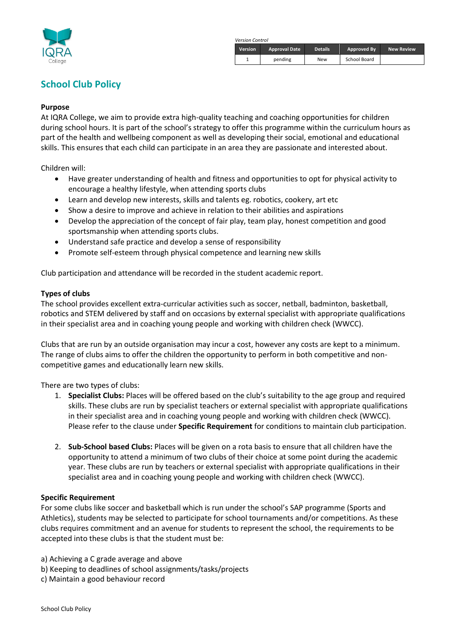

 *Version Control*

| <b>Version</b> | <b>Approval Date</b> | <b>Details</b> | Approved By  | <b>New Review</b> |
|----------------|----------------------|----------------|--------------|-------------------|
|                | pending              | <b>New</b>     | School Board |                   |

# **School Club Policy**

### **Purpose**

At IQRA College, we aim to provide extra high-quality teaching and coaching opportunities for children during school hours. It is part of the school's strategy to offer this programme within the curriculum hours as part of the health and wellbeing component as well as developing their social, emotional and educational skills. This ensures that each child can participate in an area they are passionate and interested about.

Children will:

- Have greater understanding of health and fitness and opportunities to opt for physical activity to encourage a healthy lifestyle, when attending sports clubs
- Learn and develop new interests, skills and talents eg. robotics, cookery, art etc
- Show a desire to improve and achieve in relation to their abilities and aspirations
- Develop the appreciation of the concept of fair play, team play, honest competition and good sportsmanship when attending sports clubs.
- Understand safe practice and develop a sense of responsibility
- Promote self-esteem through physical competence and learning new skills

Club participation and attendance will be recorded in the student academic report.

#### **Types of clubs**

The school provides excellent extra-curricular activities such as soccer, netball, badminton, basketball, robotics and STEM delivered by staff and on occasions by external specialist with appropriate qualifications in their specialist area and in coaching young people and working with children check (WWCC).

Clubs that are run by an outside organisation may incur a cost, however any costs are kept to a minimum. The range of clubs aims to offer the children the opportunity to perform in both competitive and noncompetitive games and educationally learn new skills.

There are two types of clubs:

- 1. **Specialist Clubs:** Places will be offered based on the club's suitability to the age group and required skills. These clubs are run by specialist teachers or external specialist with appropriate qualifications in their specialist area and in coaching young people and working with children check (WWCC). Please refer to the clause under **Specific Requirement** for conditions to maintain club participation.
- 2. **Sub-School based Clubs:** Places will be given on a rota basis to ensure that all children have the opportunity to attend a minimum of two clubs of their choice at some point during the academic year. These clubs are run by teachers or external specialist with appropriate qualifications in their specialist area and in coaching young people and working with children check (WWCC).

#### **Specific Requirement**

For some clubs like soccer and basketball which is run under the school's SAP programme (Sports and Athletics), students may be selected to participate for school tournaments and/or competitions. As these clubs requires commitment and an avenue for students to represent the school, the requirements to be accepted into these clubs is that the student must be:

- a) Achieving a C grade average and above
- b) Keeping to deadlines of school assignments/tasks/projects
- c) Maintain a good behaviour record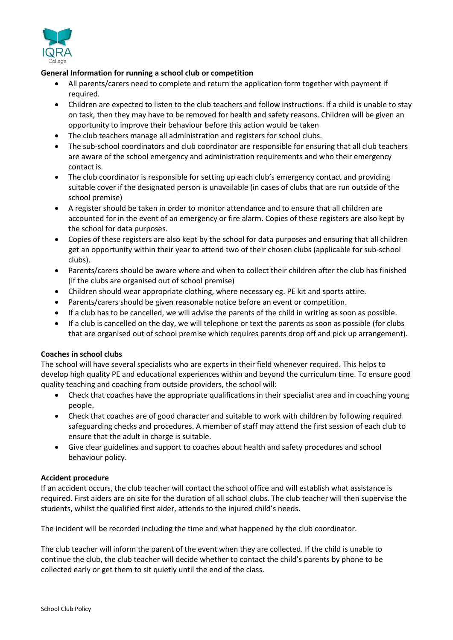

## **General Information for running a school club or competition**

- All parents/carers need to complete and return the application form together with payment if required.
- Children are expected to listen to the club teachers and follow instructions. If a child is unable to stay on task, then they may have to be removed for health and safety reasons. Children will be given an opportunity to improve their behaviour before this action would be taken
- The club teachers manage all administration and registers for school clubs.
- The sub-school coordinators and club coordinator are responsible for ensuring that all club teachers are aware of the school emergency and administration requirements and who their emergency contact is.
- The club coordinator is responsible for setting up each club's emergency contact and providing suitable cover if the designated person is unavailable (in cases of clubs that are run outside of the school premise)
- A register should be taken in order to monitor attendance and to ensure that all children are accounted for in the event of an emergency or fire alarm. Copies of these registers are also kept by the school for data purposes.
- Copies of these registers are also kept by the school for data purposes and ensuring that all children get an opportunity within their year to attend two of their chosen clubs (applicable for sub-school clubs).
- Parents/carers should be aware where and when to collect their children after the club has finished (if the clubs are organised out of school premise)
- Children should wear appropriate clothing, where necessary eg. PE kit and sports attire.
- Parents/carers should be given reasonable notice before an event or competition.
- If a club has to be cancelled, we will advise the parents of the child in writing as soon as possible.
- If a club is cancelled on the day, we will telephone or text the parents as soon as possible (for clubs that are organised out of school premise which requires parents drop off and pick up arrangement).

#### **Coaches in school clubs**

The school will have several specialists who are experts in their field whenever required. This helps to develop high quality PE and educational experiences within and beyond the curriculum time. To ensure good quality teaching and coaching from outside providers, the school will:

- Check that coaches have the appropriate qualifications in their specialist area and in coaching young people.
- Check that coaches are of good character and suitable to work with children by following required safeguarding checks and procedures. A member of staff may attend the first session of each club to ensure that the adult in charge is suitable.
- Give clear guidelines and support to coaches about health and safety procedures and school behaviour policy.

#### **Accident procedure**

If an accident occurs, the club teacher will contact the school office and will establish what assistance is required. First aiders are on site for the duration of all school clubs. The club teacher will then supervise the students, whilst the qualified first aider, attends to the injured child's needs.

The incident will be recorded including the time and what happened by the club coordinator.

The club teacher will inform the parent of the event when they are collected. If the child is unable to continue the club, the club teacher will decide whether to contact the child's parents by phone to be collected early or get them to sit quietly until the end of the class.